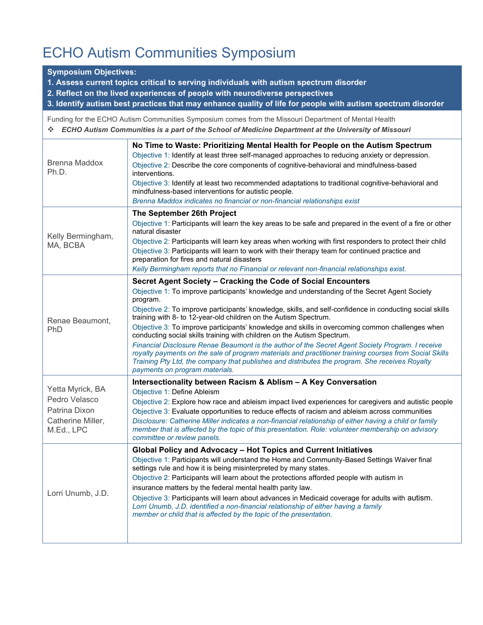## ECHO Autism Communities Symposium

## **Symposium Objectives:**

- **1. Assess current topics critical to serving individuals with autism spectrum disorder**
- **2. Reflect on the lived experiences of people with neurodiverse perspectives**

**3. Identify autism best practices that may enhance quality of life for people with autism spectrum disorder**

Funding for the ECHO Autism Communities Symposium comes from the Missouri Department of Mental Health ❖ *ECHO Autism Communities is a part of the School of Medicine Department at the University of Missouri*

| <b>Brenna Maddox</b><br>Ph.D.                                                         | No Time to Waste: Prioritizing Mental Health for People on the Autism Spectrum<br>Objective 1: Identify at least three self-managed approaches to reducing anxiety or depression.<br>Objective 2: Describe the core components of cognitive-behavioral and mindfulness-based<br>interventions.<br>Objective 3: Identify at least two recommended adaptations to traditional cognitive-behavioral and<br>mindfulness-based interventions for autistic people.<br>Brenna Maddox indicates no financial or non-financial relationships exist                                                                                                                                                                                                                                                                                                                                                  |
|---------------------------------------------------------------------------------------|--------------------------------------------------------------------------------------------------------------------------------------------------------------------------------------------------------------------------------------------------------------------------------------------------------------------------------------------------------------------------------------------------------------------------------------------------------------------------------------------------------------------------------------------------------------------------------------------------------------------------------------------------------------------------------------------------------------------------------------------------------------------------------------------------------------------------------------------------------------------------------------------|
| Kelly Bermingham,<br>MA, BCBA                                                         | The September 26th Project<br>Objective 1: Participants will learn the key areas to be safe and prepared in the event of a fire or other<br>natural disaster<br>Objective 2: Participants will learn key areas when working with first responders to protect their child<br>Objective 3: Participants will learn to work with their therapy team for continued practice and<br>preparation for fires and natural disasters<br>Kelly Bermingham reports that no Financial or relevant non-financial relationships exist.                                                                                                                                                                                                                                                                                                                                                                    |
| Renae Beaumont,<br>PhD                                                                | Secret Agent Society - Cracking the Code of Social Encounters<br>Objective 1: To improve participants' knowledge and understanding of the Secret Agent Society<br>program.<br>Objective 2: To improve participants' knowledge, skills, and self-confidence in conducting social skills<br>training with 8- to 12-year-old children on the Autism Spectrum.<br>Objective 3: To improve participants' knowledge and skills in overcoming common challenges when<br>conducting social skills training with children on the Autism Spectrum.<br>Financial Disclosure Renae Beaumont is the author of the Secret Agent Society Program. I receive<br>royalty payments on the sale of program materials and practitioner training courses from Social Skills<br>Training Pty Ltd, the company that publishes and distributes the program. She receives Royalty<br>payments on program materials. |
| Yetta Myrick, BA<br>Pedro Velasco<br>Patrina Dixon<br>Catherine Miller,<br>M.Ed., LPC | Intersectionality between Racism & Ablism - A Key Conversation<br>Objective 1: Define Ableism<br>Objective 2: Explore how race and ableism impact lived experiences for caregivers and autistic people<br>Objective 3: Evaluate opportunities to reduce effects of racism and ableism across communities<br>Disclosure: Catherine Miller indicates a non-financial relationship of either having a child or family<br>member that is affected by the topic of this presentation. Role: volunteer membership on advisory<br>committee or review panels.                                                                                                                                                                                                                                                                                                                                     |
| Lorri Unumb, J.D.                                                                     | Global Policy and Advocacy - Hot Topics and Current Initiatives<br>Objective 1: Participants will understand the Home and Community-Based Settings Waiver final<br>settings rule and how it is being misinterpreted by many states.<br>Objective 2: Participants will learn about the protections afforded people with autism in<br>insurance matters by the federal mental health parity law.<br>Objective 3: Participants will learn about advances in Medicaid coverage for adults with autism.<br>Lorri Unumb, J.D. identified a non-financial relationship of either having a family<br>member or child that is affected by the topic of the presentation.                                                                                                                                                                                                                            |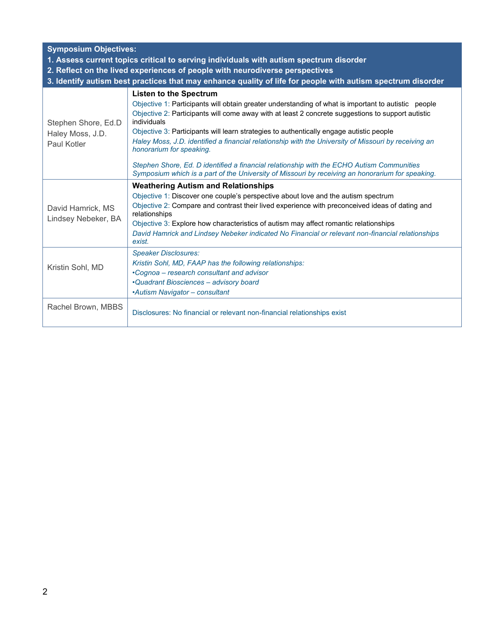| <b>Symposium Objectives:</b><br>1. Assess current topics critical to serving individuals with autism spectrum disorder<br>2. Reflect on the lived experiences of people with neurodiverse perspectives<br>3. Identify autism best practices that may enhance quality of life for people with autism spectrum disorder |                                                                                                                                                                                                                                                                                                                                                                                                                                                                                                                                                                                                                                                                                          |  |  |  |  |
|-----------------------------------------------------------------------------------------------------------------------------------------------------------------------------------------------------------------------------------------------------------------------------------------------------------------------|------------------------------------------------------------------------------------------------------------------------------------------------------------------------------------------------------------------------------------------------------------------------------------------------------------------------------------------------------------------------------------------------------------------------------------------------------------------------------------------------------------------------------------------------------------------------------------------------------------------------------------------------------------------------------------------|--|--|--|--|
| Stephen Shore, Ed.D<br>Haley Moss, J.D.<br>Paul Kotler                                                                                                                                                                                                                                                                | <b>Listen to the Spectrum</b><br>Objective 1: Participants will obtain greater understanding of what is important to autistic people<br>Objective 2: Participants will come away with at least 2 concrete suggestions to support autistic<br>individuals<br>Objective 3: Participants will learn strategies to authentically engage autistic people<br>Haley Moss, J.D. identified a financial relationship with the University of Missouri by receiving an<br>honorarium for speaking.<br>Stephen Shore, Ed. D identified a financial relationship with the ECHO Autism Communities<br>Symposium which is a part of the University of Missouri by receiving an honorarium for speaking. |  |  |  |  |
| David Hamrick, MS<br>Lindsey Nebeker, BA                                                                                                                                                                                                                                                                              | <b>Weathering Autism and Relationships</b><br>Objective 1: Discover one couple's perspective about love and the autism spectrum<br>Objective 2: Compare and contrast their lived experience with preconceived ideas of dating and<br>relationships<br>Objective 3: Explore how characteristics of autism may affect romantic relationships<br>David Hamrick and Lindsey Nebeker indicated No Financial or relevant non-financial relationships<br>exist.                                                                                                                                                                                                                                 |  |  |  |  |
| Kristin Sohl, MD                                                                                                                                                                                                                                                                                                      | <b>Speaker Disclosures:</b><br>Kristin Sohl, MD, FAAP has the following relationships:<br>•Cognoa – research consultant and advisor<br>•Quadrant Biosciences - advisory board<br>•Autism Navigator - consultant                                                                                                                                                                                                                                                                                                                                                                                                                                                                          |  |  |  |  |
| Rachel Brown, MBBS                                                                                                                                                                                                                                                                                                    | Disclosures: No financial or relevant non-financial relationships exist                                                                                                                                                                                                                                                                                                                                                                                                                                                                                                                                                                                                                  |  |  |  |  |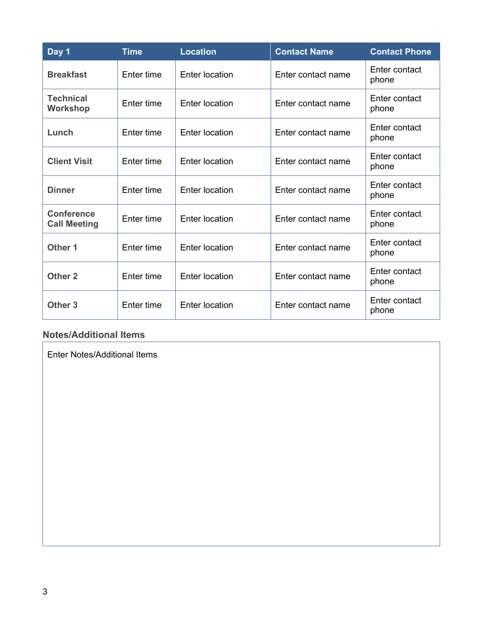| Day 1                                    | <b>Time</b> | <b>Location</b>       | <b>Contact Name</b> | <b>Contact Phone</b>   |
|------------------------------------------|-------------|-----------------------|---------------------|------------------------|
| <b>Breakfast</b>                         | Enter time  | Enter location        | Enter contact name  | Enter contact<br>phone |
| <b>Technical</b><br><b>Workshop</b>      | Enter time  | Enter location        | Enter contact name  | Enter contact<br>phone |
| Lunch                                    | Enter time  | Enter location        | Enter contact name  | Enter contact<br>phone |
| <b>Client Visit</b>                      | Enter time  | Enter location        | Enter contact name  | Enter contact<br>phone |
| <b>Dinner</b>                            | Enter time  | Enter location        | Enter contact name  | Enter contact<br>phone |
| <b>Conference</b><br><b>Call Meeting</b> | Enter time  | Enter location        | Enter contact name  | Enter contact<br>phone |
| Other 1                                  | Enter time  | Enter location        | Enter contact name  | Enter contact<br>phone |
| Other <sub>2</sub>                       | Enter time  | Enter location        | Enter contact name  | Enter contact<br>phone |
| Other <sub>3</sub>                       | Enter time  | <b>Enter location</b> | Enter contact name  | Enter contact<br>phone |

## **Notes/Additional Items**

Enter Notes/Additional Items